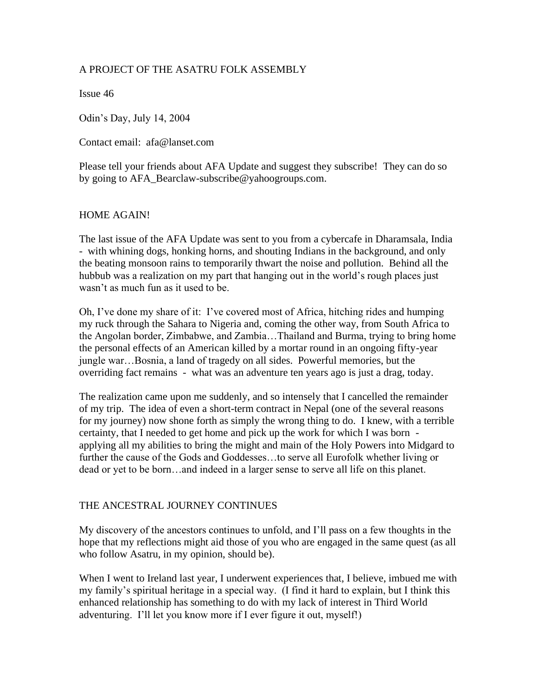# A PROJECT OF THE ASATRU FOLK ASSEMBLY

Issue 46

Odin's Day, July 14, 2004

Contact email: afa@lanset.com

Please tell your friends about AFA Update and suggest they subscribe! They can do so by going to AFA\_Bearclaw-subscribe@yahoogroups.com.

## HOME AGAIN!

The last issue of the AFA Update was sent to you from a cybercafe in Dharamsala, India - with whining dogs, honking horns, and shouting Indians in the background, and only the beating monsoon rains to temporarily thwart the noise and pollution. Behind all the hubbub was a realization on my part that hanging out in the world's rough places just wasn't as much fun as it used to be.

Oh, I've done my share of it: I've covered most of Africa, hitching rides and humping my ruck through the Sahara to Nigeria and, coming the other way, from South Africa to the Angolan border, Zimbabwe, and Zambia…Thailand and Burma, trying to bring home the personal effects of an American killed by a mortar round in an ongoing fifty-year jungle war…Bosnia, a land of tragedy on all sides. Powerful memories, but the overriding fact remains - what was an adventure ten years ago is just a drag, today.

The realization came upon me suddenly, and so intensely that I cancelled the remainder of my trip. The idea of even a short-term contract in Nepal (one of the several reasons for my journey) now shone forth as simply the wrong thing to do. I knew, with a terrible certainty, that I needed to get home and pick up the work for which I was born applying all my abilities to bring the might and main of the Holy Powers into Midgard to further the cause of the Gods and Goddesses…to serve all Eurofolk whether living or dead or yet to be born…and indeed in a larger sense to serve all life on this planet.

## THE ANCESTRAL JOURNEY CONTINUES

My discovery of the ancestors continues to unfold, and I'll pass on a few thoughts in the hope that my reflections might aid those of you who are engaged in the same quest (as all who follow Asatru, in my opinion, should be).

When I went to Ireland last year, I underwent experiences that, I believe, imbued me with my family's spiritual heritage in a special way. (I find it hard to explain, but I think this enhanced relationship has something to do with my lack of interest in Third World adventuring. I'll let you know more if I ever figure it out, myself!)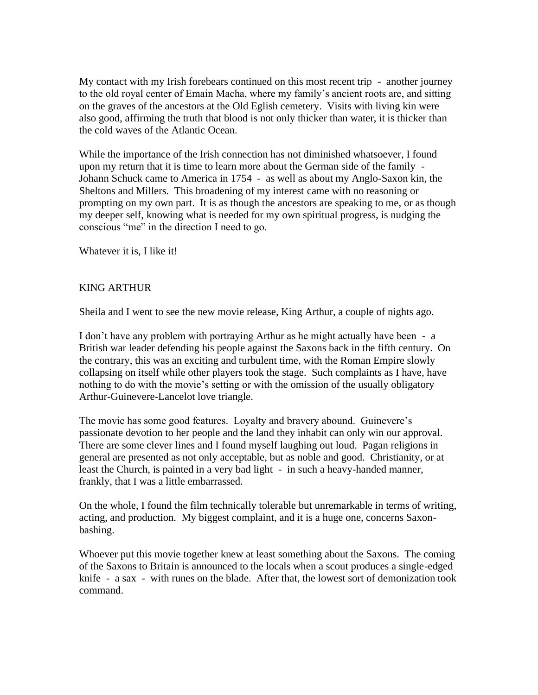My contact with my Irish forebears continued on this most recent trip - another journey to the old royal center of Emain Macha, where my family's ancient roots are, and sitting on the graves of the ancestors at the Old Eglish cemetery. Visits with living kin were also good, affirming the truth that blood is not only thicker than water, it is thicker than the cold waves of the Atlantic Ocean.

While the importance of the Irish connection has not diminished whatsoever, I found upon my return that it is time to learn more about the German side of the family - Johann Schuck came to America in 1754 - as well as about my Anglo-Saxon kin, the Sheltons and Millers. This broadening of my interest came with no reasoning or prompting on my own part. It is as though the ancestors are speaking to me, or as though my deeper self, knowing what is needed for my own spiritual progress, is nudging the conscious "me" in the direction I need to go.

Whatever it is, I like it!

## KING ARTHUR

Sheila and I went to see the new movie release, King Arthur, a couple of nights ago.

I don't have any problem with portraying Arthur as he might actually have been - a British war leader defending his people against the Saxons back in the fifth century. On the contrary, this was an exciting and turbulent time, with the Roman Empire slowly collapsing on itself while other players took the stage. Such complaints as I have, have nothing to do with the movie's setting or with the omission of the usually obligatory Arthur-Guinevere-Lancelot love triangle.

The movie has some good features. Loyalty and bravery abound. Guinevere's passionate devotion to her people and the land they inhabit can only win our approval. There are some clever lines and I found myself laughing out loud. Pagan religions in general are presented as not only acceptable, but as noble and good. Christianity, or at least the Church, is painted in a very bad light - in such a heavy-handed manner, frankly, that I was a little embarrassed.

On the whole, I found the film technically tolerable but unremarkable in terms of writing, acting, and production. My biggest complaint, and it is a huge one, concerns Saxonbashing.

Whoever put this movie together knew at least something about the Saxons. The coming of the Saxons to Britain is announced to the locals when a scout produces a single-edged knife - a sax - with runes on the blade. After that, the lowest sort of demonization took command.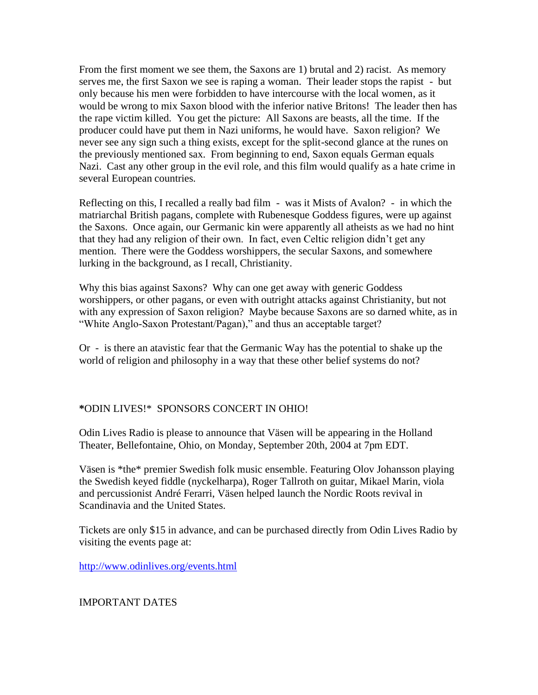From the first moment we see them, the Saxons are 1) brutal and 2) racist. As memory serves me, the first Saxon we see is raping a woman. Their leader stops the rapist - but only because his men were forbidden to have intercourse with the local women, as it would be wrong to mix Saxon blood with the inferior native Britons! The leader then has the rape victim killed. You get the picture: All Saxons are beasts, all the time. If the producer could have put them in Nazi uniforms, he would have. Saxon religion? We never see any sign such a thing exists, except for the split-second glance at the runes on the previously mentioned sax. From beginning to end, Saxon equals German equals Nazi. Cast any other group in the evil role, and this film would qualify as a hate crime in several European countries.

Reflecting on this, I recalled a really bad film - was it Mists of Avalon? - in which the matriarchal British pagans, complete with Rubenesque Goddess figures, were up against the Saxons. Once again, our Germanic kin were apparently all atheists as we had no hint that they had any religion of their own. In fact, even Celtic religion didn't get any mention. There were the Goddess worshippers, the secular Saxons, and somewhere lurking in the background, as I recall, Christianity.

Why this bias against Saxons? Why can one get away with generic Goddess worshippers, or other pagans, or even with outright attacks against Christianity, but not with any expression of Saxon religion? Maybe because Saxons are so darned white, as in "White Anglo-Saxon Protestant/Pagan)," and thus an acceptable target?

Or - is there an atavistic fear that the Germanic Way has the potential to shake up the world of religion and philosophy in a way that these other belief systems do not?

#### **\***ODIN LIVES!\* SPONSORS CONCERT IN OHIO!

Odin Lives Radio is please to announce that Väsen will be appearing in the Holland Theater, Bellefontaine, Ohio, on Monday, September 20th, 2004 at 7pm EDT.

Väsen is \*the\* premier Swedish folk music ensemble. Featuring Olov Johansson playing the Swedish keyed fiddle (nyckelharpa), Roger Tallroth on guitar, Mikael Marin, viola and percussionist André Ferarri, Väsen helped launch the Nordic Roots revival in Scandinavia and the United States.

Tickets are only \$15 in advance, and can be purchased directly from Odin Lives Radio by visiting the events page at:

<http://www.odinlives.org/events.html>

#### IMPORTANT DATES